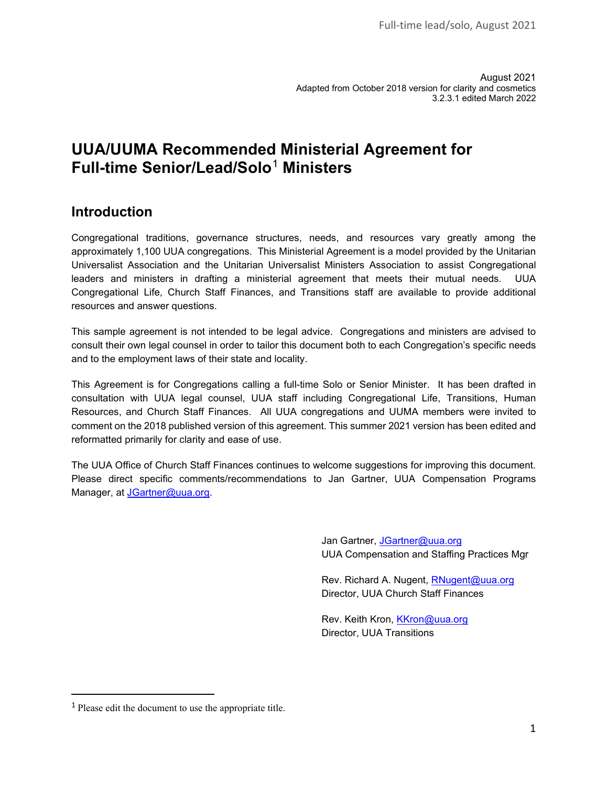August 2021 Adapted from October 2018 version for clarity and cosmetics 3.2.3.1 edited March 2022

## **UUA/UUMA Recommended Ministerial Agreement for Full-time Senior/Lead/Solo**[1](#page-0-0) **Ministers**

## **Introduction**

Congregational traditions, governance structures, needs, and resources vary greatly among the approximately 1,100 UUA congregations. This Ministerial Agreement is a model provided by the Unitarian Universalist Association and the Unitarian Universalist Ministers Association to assist Congregational leaders and ministers in drafting a ministerial agreement that meets their mutual needs. UUA Congregational Life, Church Staff Finances, and Transitions staff are available to provide additional resources and answer questions.

This sample agreement is not intended to be legal advice. Congregations and ministers are advised to consult their own legal counsel in order to tailor this document both to each Congregation's specific needs and to the employment laws of their state and locality.

This Agreement is for Congregations calling a full-time Solo or Senior Minister. It has been drafted in consultation with UUA legal counsel, UUA staff including Congregational Life, Transitions, Human Resources, and Church Staff Finances. All UUA congregations and UUMA members were invited to comment on the 2018 published version of this agreement. This summer 2021 version has been edited and reformatted primarily for clarity and ease of use.

The UUA Office of Church Staff Finances continues to welcome suggestions for improving this document. Please direct specific comments/recommendations to Jan Gartner, UUA Compensation Programs Manager, at [JGartner@uua.org.](mailto:JGartner@uua.org)

> Jan Gartner, JGartner@uua.org UUA Compensation and Staffing Practices Mgr

Rev. Richard A. Nugent, RNugent@uua.org Director, UUA Church Staff Finances

Rev. Keith Kron, [KKron@uua.org](mailto:KKron@uua.org)  Director, UUA Transitions

<span id="page-0-0"></span><sup>1</sup> Please edit the document to use the appropriate title.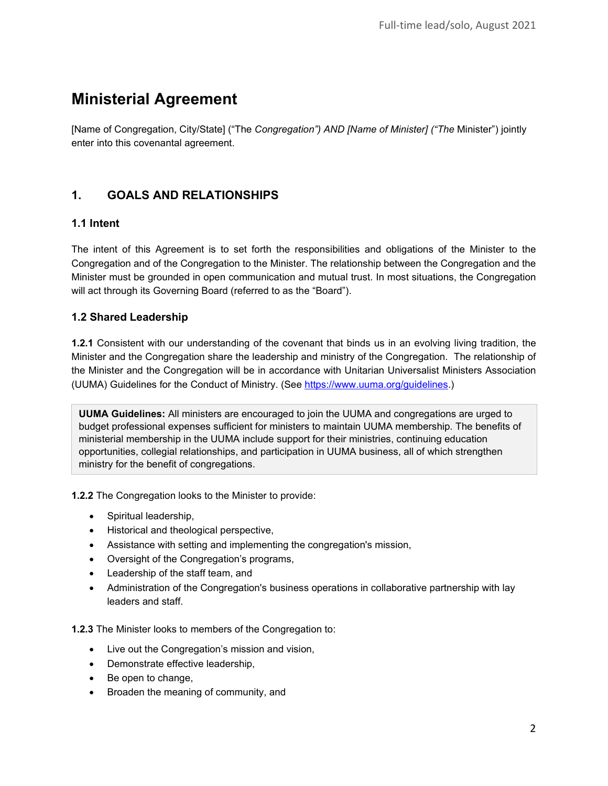# **Ministerial Agreement**

[Name of Congregation, City/State] ("The *Congregation") AND [Name of Minister] ("The* Minister") jointly enter into this covenantal agreement.

## **1. GOALS AND RELATIONSHIPS**

## **1.1 Intent**

The intent of this Agreement is to set forth the responsibilities and obligations of the Minister to the Congregation and of the Congregation to the Minister. The relationship between the Congregation and the Minister must be grounded in open communication and mutual trust. In most situations, the Congregation will act through its Governing Board (referred to as the "Board").

## **1.2 Shared Leadership**

**1.2.1** Consistent with our understanding of the covenant that binds us in an evolving living tradition, the Minister and the Congregation share the leadership and ministry of the Congregation. The relationship of the Minister and the Congregation will be in accordance with Unitarian Universalist Ministers Association (UUMA) Guidelines for the Conduct of Ministry. (See [https://www.uuma.org/guidelines.](https://www.uuma.org/guidelines))

**UUMA Guidelines:** All ministers are encouraged to join the UUMA and congregations are urged to budget professional expenses sufficient for ministers to maintain UUMA membership. The benefits of ministerial membership in the UUMA include support for their ministries, continuing education opportunities, collegial relationships, and participation in UUMA business, all of which strengthen ministry for the benefit of congregations.

**1.2.2** The Congregation looks to the Minister to provide:

- Spiritual leadership,
- Historical and theological perspective,
- Assistance with setting and implementing the congregation's mission,
- Oversight of the Congregation's programs,
- Leadership of the staff team, and
- Administration of the Congregation's business operations in collaborative partnership with lay leaders and staff.

**1.2.3** The Minister looks to members of the Congregation to:

- Live out the Congregation's mission and vision,
- Demonstrate effective leadership,
- Be open to change,
- Broaden the meaning of community, and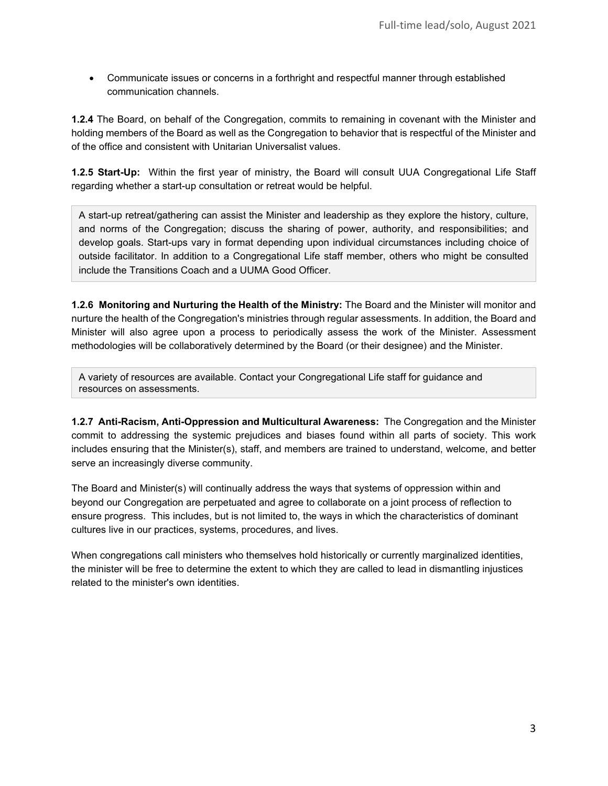• Communicate issues or concerns in a forthright and respectful manner through established communication channels.

**1.2.4** The Board, on behalf of the Congregation, commits to remaining in covenant with the Minister and holding members of the Board as well as the Congregation to behavior that is respectful of the Minister and of the office and consistent with Unitarian Universalist values.

**1.2.5 Start-Up:** Within the first year of ministry, the Board will consult UUA Congregational Life Staff regarding whether a start-up consultation or retreat would be helpful.

A start-up retreat/gathering can assist the Minister and leadership as they explore the history, culture, and norms of the Congregation; discuss the sharing of power, authority, and responsibilities; and develop goals. Start-ups vary in format depending upon individual circumstances including choice of outside facilitator. In addition to a Congregational Life staff member, others who might be consulted include the Transitions Coach and a UUMA Good Officer.

**1.2.6 Monitoring and Nurturing the Health of the Ministry:** The Board and the Minister will monitor and nurture the health of the Congregation's ministries through regular assessments. In addition, the Board and Minister will also agree upon a process to periodically assess the work of the Minister. Assessment methodologies will be collaboratively determined by the Board (or their designee) and the Minister.

A variety of resources are available. Contact your Congregational Life staff for guidance and resources on assessments.

**1.2.7 Anti-Racism, Anti-Oppression and Multicultural Awareness:** The Congregation and the Minister commit to addressing the systemic prejudices and biases found within all parts of society. This work includes ensuring that the Minister(s), staff, and members are trained to understand, welcome, and better serve an increasingly diverse community.

The Board and Minister(s) will continually address the ways that systems of oppression within and beyond our Congregation are perpetuated and agree to collaborate on a joint process of reflection to ensure progress. This includes, but is not limited to, the ways in which the characteristics of dominant cultures live in our practices, systems, procedures, and lives.

When congregations call ministers who themselves hold historically or currently marginalized identities, the minister will be free to determine the extent to which they are called to lead in dismantling injustices related to the minister's own identities.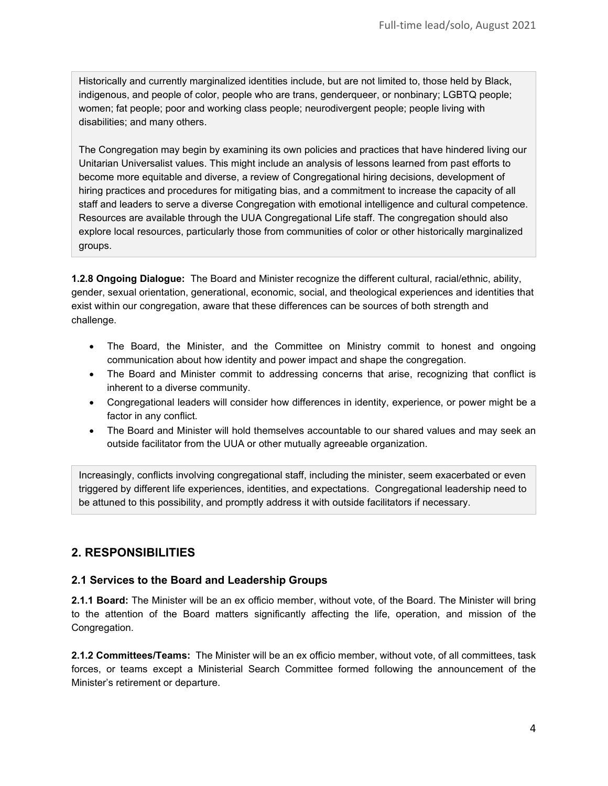Historically and currently marginalized identities include, but are not limited to, those held by Black, indigenous, and people of color, people who are trans, genderqueer, or nonbinary; LGBTQ people; women; fat people; poor and working class people; neurodivergent people; people living with disabilities; and many others.

The Congregation may begin by examining its own policies and practices that have hindered living our Unitarian Universalist values. This might include an analysis of lessons learned from past efforts to become more equitable and diverse, a review of Congregational hiring decisions, development of hiring practices and procedures for mitigating bias, and a commitment to increase the capacity of all staff and leaders to serve a diverse Congregation with emotional intelligence and cultural competence. Resources are available through the UUA Congregational Life staff. The congregation should also explore local resources, particularly those from communities of color or other historically marginalized groups.

**1.2.8 Ongoing Dialogue:** The Board and Minister recognize the different cultural, racial/ethnic, ability, gender, sexual orientation, generational, economic, social, and theological experiences and identities that exist within our congregation, aware that these differences can be sources of both strength and challenge.

- The Board, the Minister, and the Committee on Ministry commit to honest and ongoing communication about how identity and power impact and shape the congregation.
- The Board and Minister commit to addressing concerns that arise, recognizing that conflict is inherent to a diverse community.
- Congregational leaders will consider how differences in identity, experience, or power might be a factor in any conflict.
- The Board and Minister will hold themselves accountable to our shared values and may seek an outside facilitator from the UUA or other mutually agreeable organization.

Increasingly, conflicts involving congregational staff, including the minister, seem exacerbated or even triggered by different life experiences, identities, and expectations. Congregational leadership need to be attuned to this possibility, and promptly address it with outside facilitators if necessary.

## **2. RESPONSIBILITIES**

## **2.1 Services to the Board and Leadership Groups**

**2.1.1 Board:** The Minister will be an ex officio member, without vote, of the Board. The Minister will bring to the attention of the Board matters significantly affecting the life, operation, and mission of the Congregation.

**2.1.2 Committees/Teams:** The Minister will be an ex officio member, without vote, of all committees, task forces, or teams except a Ministerial Search Committee formed following the announcement of the Minister's retirement or departure.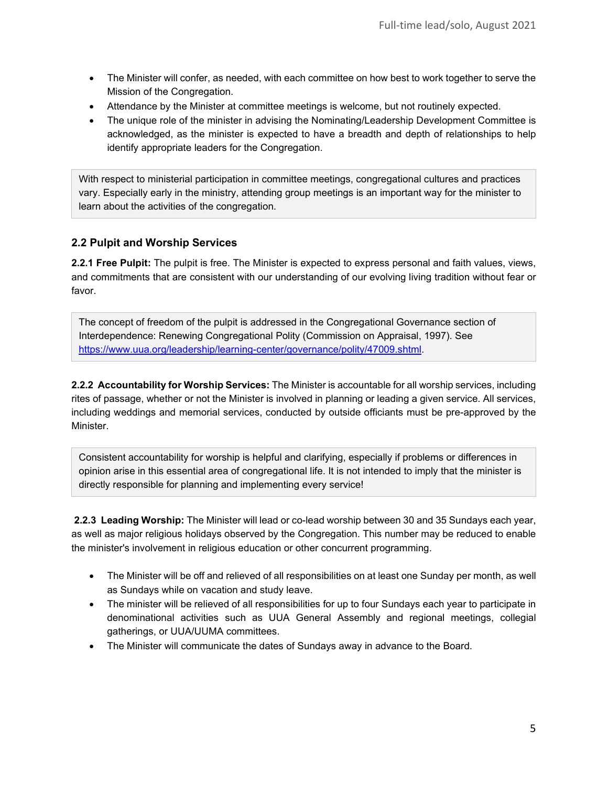- The Minister will confer, as needed, with each committee on how best to work together to serve the Mission of the Congregation.
- Attendance by the Minister at committee meetings is welcome, but not routinely expected.
- The unique role of the minister in advising the Nominating/Leadership Development Committee is acknowledged, as the minister is expected to have a breadth and depth of relationships to help identify appropriate leaders for the Congregation.

With respect to ministerial participation in committee meetings, congregational cultures and practices vary. Especially early in the ministry, attending group meetings is an important way for the minister to learn about the activities of the congregation.

## **2.2 Pulpit and Worship Services**

**2.2.1 Free Pulpit:** The pulpit is free. The Minister is expected to express personal and faith values, views, and commitments that are consistent with our understanding of our evolving living tradition without fear or favor.

The concept of freedom of the pulpit is addressed in the Congregational Governance section of Interdependence: Renewing Congregational Polity (Commission on Appraisal, 1997). See [https://www.uua.org/leadership/learning-center/governance/polity/47009.shtml.](https://www.uua.org/leadership/learning-center/governance/polity/47009.shtml)

**2.2.2 Accountability for Worship Services:** The Minister is accountable for all worship services, including rites of passage, whether or not the Minister is involved in planning or leading a given service. All services, including weddings and memorial services, conducted by outside officiants must be pre-approved by the Minister.

Consistent accountability for worship is helpful and clarifying, especially if problems or differences in opinion arise in this essential area of congregational life. It is not intended to imply that the minister is directly responsible for planning and implementing every service!

**2.2.3 Leading Worship:** The Minister will lead or co-lead worship between 30 and 35 Sundays each year, as well as major religious holidays observed by the Congregation. This number may be reduced to enable the minister's involvement in religious education or other concurrent programming.

- The Minister will be off and relieved of all responsibilities on at least one Sunday per month, as well as Sundays while on vacation and study leave.
- The minister will be relieved of all responsibilities for up to four Sundays each year to participate in denominational activities such as UUA General Assembly and regional meetings, collegial gatherings, or UUA/UUMA committees.
- The Minister will communicate the dates of Sundays away in advance to the Board.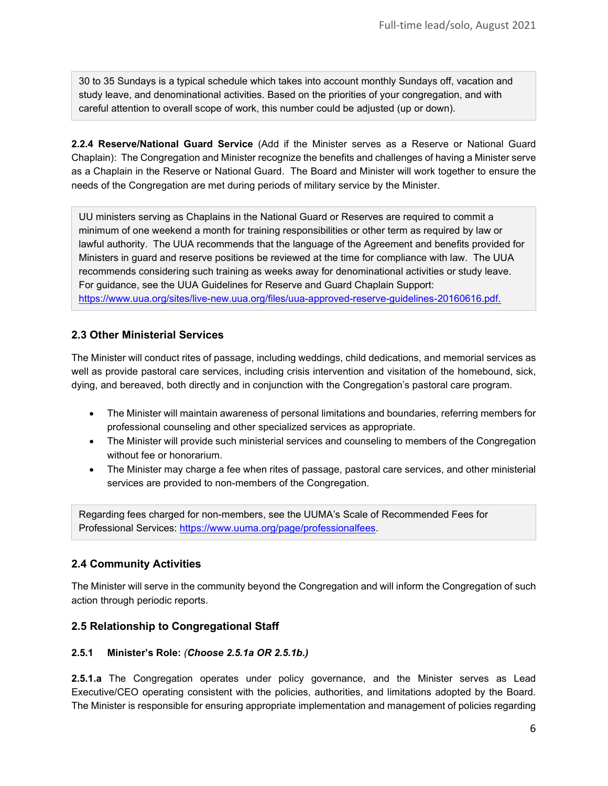30 to 35 Sundays is a typical schedule which takes into account monthly Sundays off, vacation and study leave, and denominational activities. Based on the priorities of your congregation, and with careful attention to overall scope of work, this number could be adjusted (up or down).

**2.2.4 Reserve/National Guard Service** (Add if the Minister serves as a Reserve or National Guard Chaplain): The Congregation and Minister recognize the benefits and challenges of having a Minister serve as a Chaplain in the Reserve or National Guard. The Board and Minister will work together to ensure the needs of the Congregation are met during periods of military service by the Minister.

UU ministers serving as Chaplains in the National Guard or Reserves are required to commit a minimum of one weekend a month for training responsibilities or other term as required by law or lawful authority. The UUA recommends that the language of the Agreement and benefits provided for Ministers in guard and reserve positions be reviewed at the time for compliance with law. The UUA recommends considering such training as weeks away for denominational activities or study leave. For guidance, see the UUA Guidelines for Reserve and Guard Chaplain Support: [https://www.uua.org/sites/live-new.uua.org/files/uua-approved-reserve-guidelines-20160616.pdf.](https://www.uua.org/sites/live-new.uua.org/files/uua-approved-reserve-guidelines-20160616.pdf)

## **2.3 Other Ministerial Services**

The Minister will conduct rites of passage, including weddings, child dedications, and memorial services as well as provide pastoral care services, including crisis intervention and visitation of the homebound, sick, dying, and bereaved, both directly and in conjunction with the Congregation's pastoral care program.

- The Minister will maintain awareness of personal limitations and boundaries, referring members for professional counseling and other specialized services as appropriate.
- The Minister will provide such ministerial services and counseling to members of the Congregation without fee or honorarium.
- The Minister may charge a fee when rites of passage, pastoral care services, and other ministerial services are provided to non-members of the Congregation.

Regarding fees charged for non-members, see the UUMA's Scale of Recommended Fees for Professional Services: [https://www.uuma.org/page/professionalfees.](https://www.uuma.org/page/professionalfees)

## **2.4 Community Activities**

The Minister will serve in the community beyond the Congregation and will inform the Congregation of such action through periodic reports.

#### **2.5 Relationship to Congregational Staff**

#### **2.5.1 Minister's Role:** *(Choose 2.5.1a OR 2.5.1b.)*

**2.5.1.a** The Congregation operates under policy governance, and the Minister serves as Lead Executive/CEO operating consistent with the policies, authorities, and limitations adopted by the Board. The Minister is responsible for ensuring appropriate implementation and management of policies regarding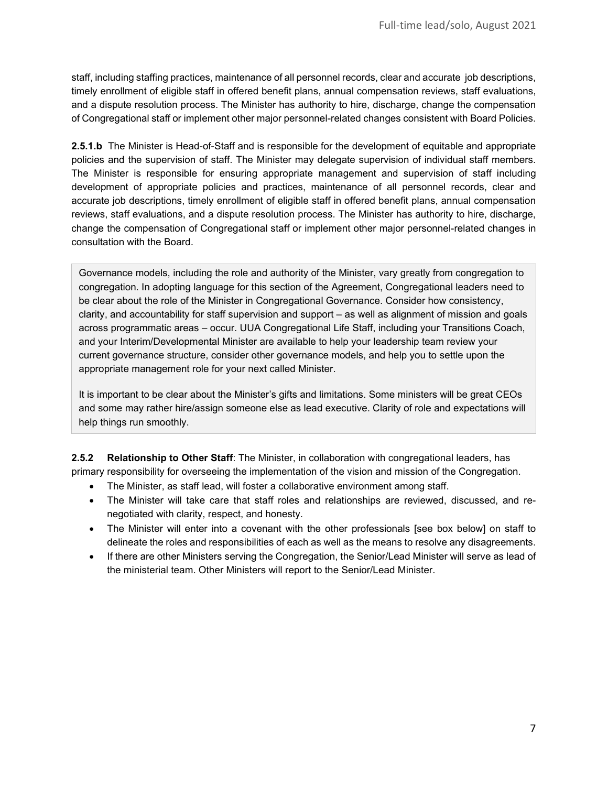staff, including staffing practices, maintenance of all personnel records, clear and accurate job descriptions, timely enrollment of eligible staff in offered benefit plans, annual compensation reviews, staff evaluations, and a dispute resolution process. The Minister has authority to hire, discharge, change the compensation of Congregational staff or implement other major personnel-related changes consistent with Board Policies.

**2.5.1.b** The Minister is Head-of-Staff and is responsible for the development of equitable and appropriate policies and the supervision of staff. The Minister may delegate supervision of individual staff members. The Minister is responsible for ensuring appropriate management and supervision of staff including development of appropriate policies and practices, maintenance of all personnel records, clear and accurate job descriptions, timely enrollment of eligible staff in offered benefit plans, annual compensation reviews, staff evaluations, and a dispute resolution process. The Minister has authority to hire, discharge, change the compensation of Congregational staff or implement other major personnel-related changes in consultation with the Board.

Governance models, including the role and authority of the Minister, vary greatly from congregation to congregation. In adopting language for this section of the Agreement, Congregational leaders need to be clear about the role of the Minister in Congregational Governance. Consider how consistency, clarity, and accountability for staff supervision and support – as well as alignment of mission and goals across programmatic areas – occur. UUA Congregational Life Staff, including your Transitions Coach, and your Interim/Developmental Minister are available to help your leadership team review your current governance structure, consider other governance models, and help you to settle upon the appropriate management role for your next called Minister.

It is important to be clear about the Minister's gifts and limitations. Some ministers will be great CEOs and some may rather hire/assign someone else as lead executive. Clarity of role and expectations will help things run smoothly.

**2.5.2 Relationship to Other Staff**: The Minister, in collaboration with congregational leaders, has primary responsibility for overseeing the implementation of the vision and mission of the Congregation.

- The Minister, as staff lead, will foster a collaborative environment among staff.
- The Minister will take care that staff roles and relationships are reviewed, discussed, and renegotiated with clarity, respect, and honesty.
- The Minister will enter into a covenant with the other professionals [see box below] on staff to delineate the roles and responsibilities of each as well as the means to resolve any disagreements.
- If there are other Ministers serving the Congregation, the Senior/Lead Minister will serve as lead of the ministerial team. Other Ministers will report to the Senior/Lead Minister.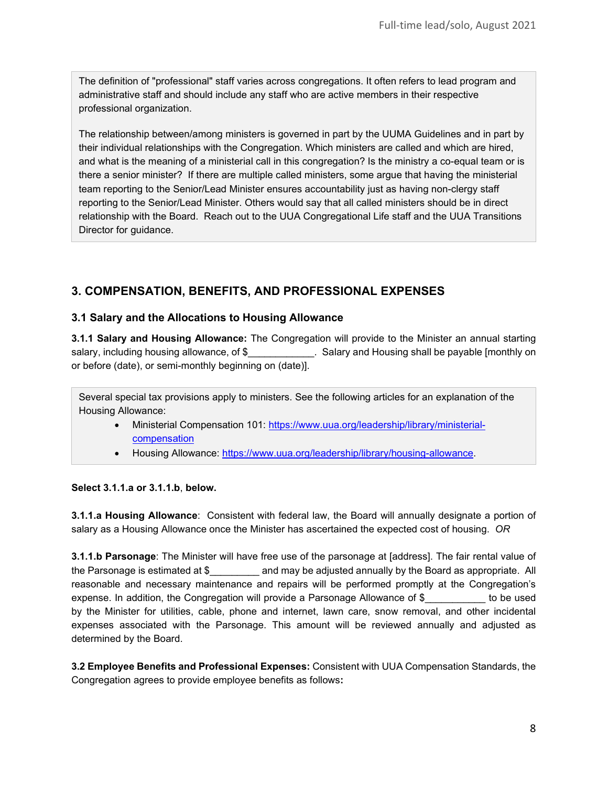The definition of "professional" staff varies across congregations. It often refers to lead program and administrative staff and should include any staff who are active members in their respective professional organization.

The relationship between/among ministers is governed in part by the UUMA Guidelines and in part by their individual relationships with the Congregation. Which ministers are called and which are hired, and what is the meaning of a ministerial call in this congregation? Is the ministry a co-equal team or is there a senior minister? If there are multiple called ministers, some argue that having the ministerial team reporting to the Senior/Lead Minister ensures accountability just as having non-clergy staff reporting to the Senior/Lead Minister. Others would say that all called ministers should be in direct relationship with the Board. Reach out to the UUA Congregational Life staff and the UUA Transitions Director for guidance.

## **3. COMPENSATION, BENEFITS, AND PROFESSIONAL EXPENSES**

## **3.1 Salary and the Allocations to Housing Allowance**

**3.1.1 Salary and Housing Allowance:** The Congregation will provide to the Minister an annual starting salary, including housing allowance, of \$\_\_\_\_\_\_\_\_\_\_\_\_. Salary and Housing shall be payable [monthly on or before (date), or semi-monthly beginning on (date)].

Several special tax provisions apply to ministers. See the following articles for an explanation of the Housing Allowance:

- Ministerial Compensation 101: [https://www.uua.org/leadership/library/ministerial](https://www.uua.org/leadership/library/ministerial-compensation)[compensation](https://www.uua.org/leadership/library/ministerial-compensation)
- Housing Allowance: [https://www.uua.org/leadership/library/housing-allowance.](https://www.uua.org/leadership/library/housing-allowance)

#### **Select 3.1.1.a or 3.1.1.b**, **below.**

**3.1.1.a Housing Allowance**: Consistent with federal law, the Board will annually designate a portion of salary as a Housing Allowance once the Minister has ascertained the expected cost of housing. *OR*

**3.1.1.b Parsonage**: The Minister will have free use of the parsonage at [address]. The fair rental value of the Parsonage is estimated at \$\_\_\_\_\_\_\_\_\_\_ and may be adjusted annually by the Board as appropriate. All reasonable and necessary maintenance and repairs will be performed promptly at the Congregation's expense. In addition, the Congregation will provide a Parsonage Allowance of \$ be used by the Minister for utilities, cable, phone and internet, lawn care, snow removal, and other incidental expenses associated with the Parsonage. This amount will be reviewed annually and adjusted as determined by the Board.

**3.2 Employee Benefits and Professional Expenses:** Consistent with UUA Compensation Standards, the Congregation agrees to provide employee benefits as follows**:**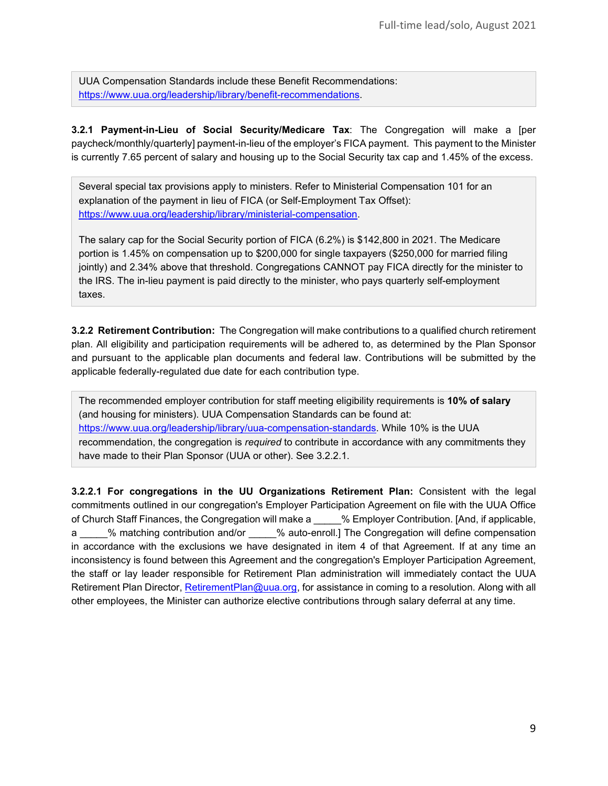UUA Compensation Standards include these Benefit Recommendations: [https://www.uua.org/leadership/library/benefit-recommendations.](https://www.uua.org/leadership/library/benefit-recommendations)

**3.2.1 Payment-in-Lieu of Social Security/Medicare Tax**: The Congregation will make a [per paycheck/monthly/quarterly] payment-in-lieu of the employer's FICA payment. This payment to the Minister is currently 7.65 percent of salary and housing up to the Social Security tax cap and 1.45% of the excess.

Several special tax provisions apply to ministers. Refer to Ministerial Compensation 101 for an explanation of the payment in lieu of FICA (or Self-Employment Tax Offset): [https://www.uua.org/leadership/library/ministerial-compensation.](https://www.uua.org/leadership/library/ministerial-compensation)

The salary cap for the Social Security portion of FICA (6.2%) is \$142,800 in 2021. The Medicare portion is 1.45% on compensation up to \$200,000 for single taxpayers (\$250,000 for married filing jointly) and 2.34% above that threshold. Congregations CANNOT pay FICA directly for the minister to the IRS. The in-lieu payment is paid directly to the minister, who pays quarterly self-employment taxes.

**3.2.2 Retirement Contribution:** The Congregation will make contributions to a qualified church retirement plan. All eligibility and participation requirements will be adhered to, as determined by the Plan Sponsor and pursuant to the applicable plan documents and federal law. Contributions will be submitted by the applicable federally-regulated due date for each contribution type.

The recommended employer contribution for staff meeting eligibility requirements is **10% of salary** (and housing for ministers). UUA Compensation Standards can be found at: [https://www.uua.org/leadership/library/uua-compensation-standards.](https://www.uua.org/leadership/library/uua-compensation-standards) While 10% is the UUA recommendation, the congregation is *required* to contribute in accordance with any commitments they have made to their Plan Sponsor (UUA or other). See 3.2.2.1.

**3.2.2.1 For congregations in the UU Organizations Retirement Plan:** Consistent with the legal commitments outlined in our congregation's Employer Participation Agreement on file with the UUA Office of Church Staff Finances, the Congregation will make a \_\_\_\_\_ % Employer Contribution. [And, if applicable, a assume the Contribution and/or the auto-enroll.] The Congregation will define compensation in accordance with the exclusions we have designated in item 4 of that Agreement. If at any time an inconsistency is found between this Agreement and the congregation's Employer Participation Agreement, the staff or lay leader responsible for Retirement Plan administration will immediately contact the UUA Retirement Plan Director, [RetirementPlan@uua.org,](mailto:RetirementPlan@uua.org) for assistance in coming to a resolution. Along with all other employees, the Minister can authorize elective contributions through salary deferral at any time.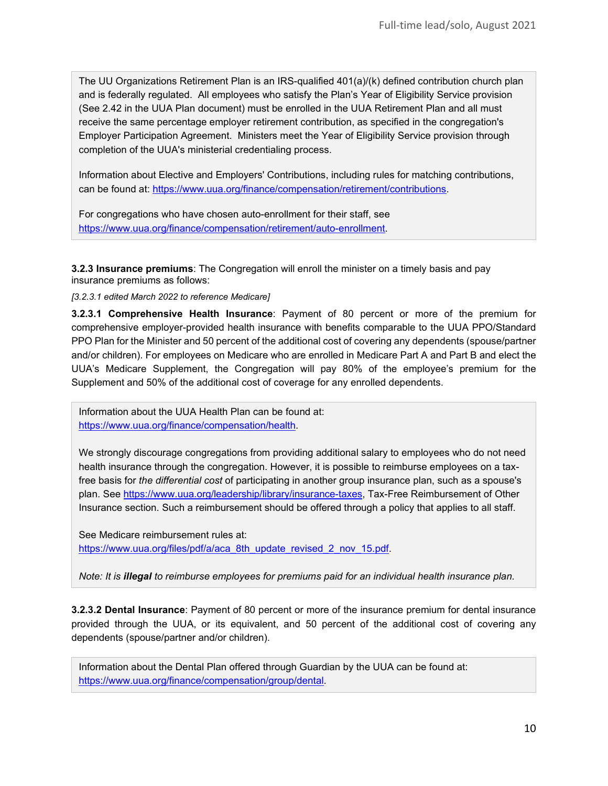The UU Organizations Retirement Plan is an IRS-qualified 401(a)/(k) defined contribution church plan and is federally regulated. All employees who satisfy the Plan's Year of Eligibility Service provision (See 2.42 in the UUA Plan document) must be enrolled in the UUA Retirement Plan and all must receive the same percentage employer retirement contribution, as specified in the congregation's Employer Participation Agreement. Ministers meet the Year of Eligibility Service provision through completion of the UUA's ministerial credentialing process.

Information about Elective and Employers' Contributions, including rules for matching contributions, can be found at: [https://www.uua.org/finance/compensation/retirement/contributions.](https://www.uua.org/finance/compensation/retirement/contributions)

For congregations who have chosen auto-enrollment for their staff, see [https://www.uua.org/finance/compensation/retirement/auto-enrollment.](https://www.uua.org/finance/compensation/retirement/auto-enrollment)

**3.2.3 Insurance premiums**: The Congregation will enroll the minister on a timely basis and pay insurance premiums as follows:

*[3.2.3.1 edited March 2022 to reference Medicare]*

**3.2.3.1 Comprehensive Health Insurance**: Payment of 80 percent or more of the premium for comprehensive employer-provided health insurance with benefits comparable to the UUA PPO/Standard PPO Plan for the Minister and 50 percent of the additional cost of covering any dependents (spouse/partner and/or children). For employees on Medicare who are enrolled in Medicare Part A and Part B and elect the UUA's Medicare Supplement, the Congregation will pay 80% of the employee's premium for the Supplement and 50% of the additional cost of coverage for any enrolled dependents.

Information about the UUA Health Plan can be found at: [https://www.uua.org/finance/compensation/health.](https://www.uua.org/finance/compensation/health)

We strongly discourage congregations from providing additional salary to employees who do not need health insurance through the congregation. However, it is possible to reimburse employees on a taxfree basis for *the differential cost* of participating in another group insurance plan, such as a spouse's plan. See [https://www.uua.org/leadership/library/insurance-taxes,](https://www.uua.org/leadership/library/insurance-taxes) Tax-Free Reimbursement of Other Insurance section. Such a reimbursement should be offered through a policy that applies to all staff.

See Medicare reimbursement rules at: [https://www.uua.org/files/pdf/a/aca\\_8th\\_update\\_revised\\_2\\_nov\\_15.pdf.](https://www.uua.org/files/pdf/a/aca_8th_update_revised_2_nov_15.pdf)

*Note: It is illegal to reimburse employees for premiums paid for an individual health insurance plan.* 

**3.2.3.2 Dental Insurance**: Payment of 80 percent or more of the insurance premium for dental insurance provided through the UUA, or its equivalent, and 50 percent of the additional cost of covering any dependents (spouse/partner and/or children).

Information about the Dental Plan offered through Guardian by the UUA can be found at: [https://www.uua.org/finance/compensation/group/dental.](https://www.uua.org/finance/compensation/group/dental)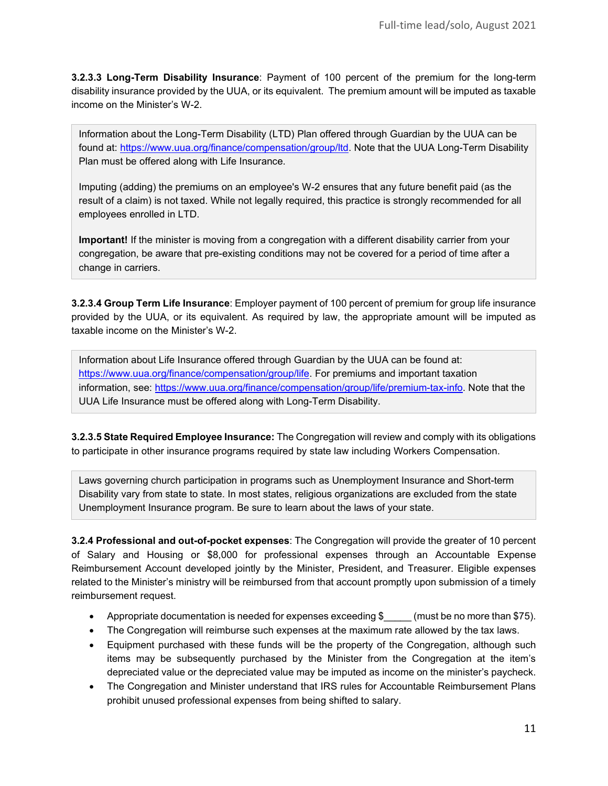**3.2.3.3 Long-Term Disability Insurance**: Payment of 100 percent of the premium for the long-term disability insurance provided by the UUA, or its equivalent. The premium amount will be imputed as taxable income on the Minister's W-2.

Information about the Long-Term Disability (LTD) Plan offered through Guardian by the UUA can be found at: [https://www.uua.org/finance/compensation/group/ltd.](https://www.uua.org/finance/compensation/group/ltd) Note that the UUA Long-Term Disability Plan must be offered along with Life Insurance.

Imputing (adding) the premiums on an employee's W-2 ensures that any future benefit paid (as the result of a claim) is not taxed. While not legally required, this practice is strongly recommended for all employees enrolled in LTD.

**Important!** If the minister is moving from a congregation with a different disability carrier from your congregation, be aware that pre-existing conditions may not be covered for a period of time after a change in carriers.

**3.2.3.4 Group Term Life Insurance**: Employer payment of 100 percent of premium for group life insurance provided by the UUA, or its equivalent. As required by law, the appropriate amount will be imputed as taxable income on the Minister's W-2.

Information about Life Insurance offered through Guardian by the UUA can be found at: [https://www.uua.org/finance/compensation/group/life.](https://www.uua.org/finance/compensation/group/life) For premiums and important taxation information, see: [https://www.uua.org/finance/compensation/group/life/premium-tax-info.](https://www.uua.org/finance/compensation/group/life/premium-tax-info) Note that the UUA Life Insurance must be offered along with Long-Term Disability.

**3.2.3.5 State Required Employee Insurance:** The Congregation will review and comply with its obligations to participate in other insurance programs required by state law including Workers Compensation.

Laws governing church participation in programs such as Unemployment Insurance and Short-term Disability vary from state to state. In most states, religious organizations are excluded from the state Unemployment Insurance program. Be sure to learn about the laws of your state.

**3.2.4 Professional and out-of-pocket expenses**: The Congregation will provide the greater of 10 percent of Salary and Housing or \$8,000 for professional expenses through an Accountable Expense Reimbursement Account developed jointly by the Minister, President, and Treasurer. Eligible expenses related to the Minister's ministry will be reimbursed from that account promptly upon submission of a timely reimbursement request.

- Appropriate documentation is needed for expenses exceeding \$ (must be no more than \$75).
- The Congregation will reimburse such expenses at the maximum rate allowed by the tax laws.
- Equipment purchased with these funds will be the property of the Congregation, although such items may be subsequently purchased by the Minister from the Congregation at the item's depreciated value or the depreciated value may be imputed as income on the minister's paycheck.
- The Congregation and Minister understand that IRS rules for Accountable Reimbursement Plans prohibit unused professional expenses from being shifted to salary.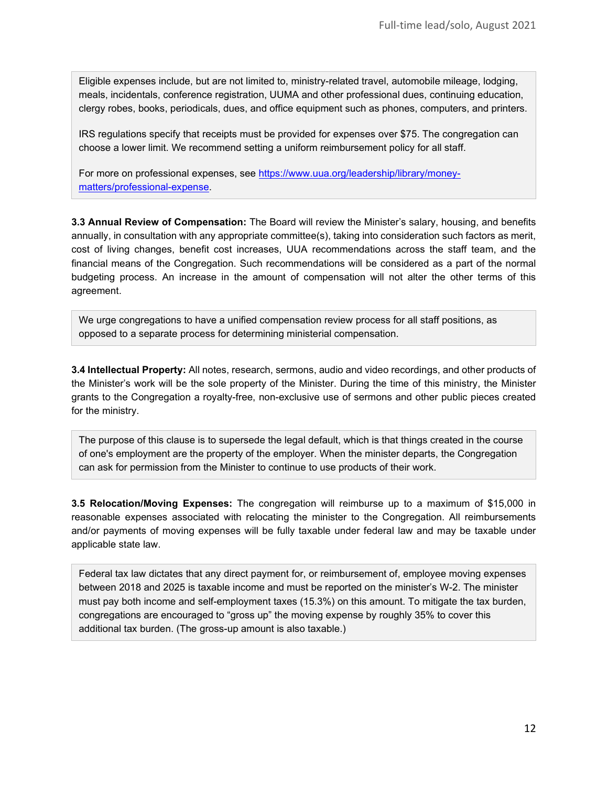Eligible expenses include, but are not limited to, ministry-related travel, automobile mileage, lodging, meals, incidentals, conference registration, UUMA and other professional dues, continuing education, clergy robes, books, periodicals, dues, and office equipment such as phones, computers, and printers.

IRS regulations specify that receipts must be provided for expenses over \$75. The congregation can choose a lower limit. We recommend setting a uniform reimbursement policy for all staff.

For more on professional expenses, see [https://www.uua.org/leadership/library/money](https://www.uua.org/leadership/library/money-matters/professional-expense)[matters/professional-expense.](https://www.uua.org/leadership/library/money-matters/professional-expense)

**3.3 Annual Review of Compensation:** The Board will review the Minister's salary, housing, and benefits annually, in consultation with any appropriate committee(s), taking into consideration such factors as merit, cost of living changes, benefit cost increases, UUA recommendations across the staff team, and the financial means of the Congregation. Such recommendations will be considered as a part of the normal budgeting process. An increase in the amount of compensation will not alter the other terms of this agreement.

We urge congregations to have a unified compensation review process for all staff positions, as opposed to a separate process for determining ministerial compensation.

**3.4 Intellectual Property:** All notes, research, sermons, audio and video recordings, and other products of the Minister's work will be the sole property of the Minister. During the time of this ministry, the Minister grants to the Congregation a royalty-free, non-exclusive use of sermons and other public pieces created for the ministry.

The purpose of this clause is to supersede the legal default, which is that things created in the course of one's employment are the property of the employer. When the minister departs, the Congregation can ask for permission from the Minister to continue to use products of their work.

**3.5 Relocation/Moving Expenses:** The congregation will reimburse up to a maximum of \$15,000 in reasonable expenses associated with relocating the minister to the Congregation. All reimbursements and/or payments of moving expenses will be fully taxable under federal law and may be taxable under applicable state law.

Federal tax law dictates that any direct payment for, or reimbursement of, employee moving expenses between 2018 and 2025 is taxable income and must be reported on the minister's W-2. The minister must pay both income and self-employment taxes (15.3%) on this amount. To mitigate the tax burden, congregations are encouraged to "gross up" the moving expense by roughly 35% to cover this additional tax burden. (The gross-up amount is also taxable.)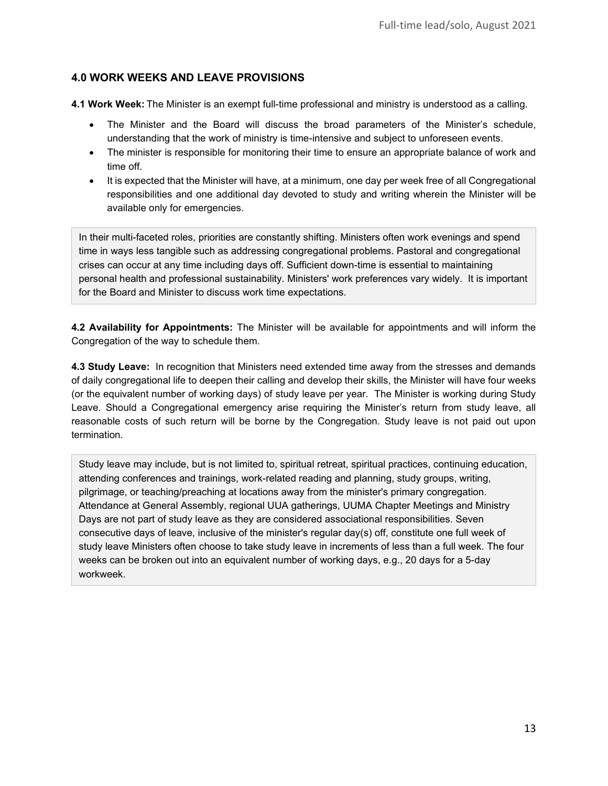## **4.0 WORK WEEKS AND LEAVE PROVISIONS**

**4.1 Work Week:** The Minister is an exempt full-time professional and ministry is understood as a calling.

- The Minister and the Board will discuss the broad parameters of the Minister's schedule, understanding that the work of ministry is time-intensive and subject to unforeseen events.
- The minister is responsible for monitoring their time to ensure an appropriate balance of work and time off.
- It is expected that the Minister will have, at a minimum, one day per week free of all Congregational responsibilities and one additional day devoted to study and writing wherein the Minister will be available only for emergencies.

In their multi-faceted roles, priorities are constantly shifting. Ministers often work evenings and spend time in ways less tangible such as addressing congregational problems. Pastoral and congregational crises can occur at any time including days off. Sufficient down-time is essential to maintaining personal health and professional sustainability. Ministers' work preferences vary widely. It is important for the Board and Minister to discuss work time expectations.

**4.2 Availability for Appointments:** The Minister will be available for appointments and will inform the Congregation of the way to schedule them.

**4.3 Study Leave:** In recognition that Ministers need extended time away from the stresses and demands of daily congregational life to deepen their calling and develop their skills, the Minister will have four weeks (or the equivalent number of working days) of study leave per year. The Minister is working during Study Leave. Should a Congregational emergency arise requiring the Minister's return from study leave, all reasonable costs of such return will be borne by the Congregation. Study leave is not paid out upon termination.

Study leave may include, but is not limited to, spiritual retreat, spiritual practices, continuing education, attending conferences and trainings, work-related reading and planning, study groups, writing, pilgrimage, or teaching/preaching at locations away from the minister's primary congregation. Attendance at General Assembly, regional UUA gatherings, UUMA Chapter Meetings and Ministry Days are not part of study leave as they are considered associational responsibilities. Seven consecutive days of leave, inclusive of the minister's regular day(s) off, constitute one full week of study leave Ministers often choose to take study leave in increments of less than a full week. The four weeks can be broken out into an equivalent number of working days, e.g., 20 days for a 5-day workweek.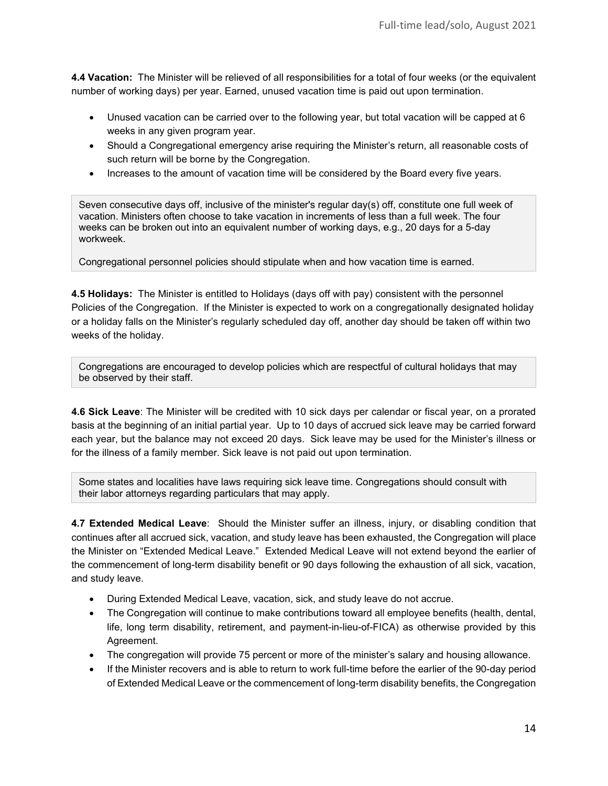**4.4 Vacation:** The Minister will be relieved of all responsibilities for a total of four weeks (or the equivalent number of working days) per year. Earned, unused vacation time is paid out upon termination.

- Unused vacation can be carried over to the following year, but total vacation will be capped at 6 weeks in any given program year.
- Should a Congregational emergency arise requiring the Minister's return, all reasonable costs of such return will be borne by the Congregation.
- Increases to the amount of vacation time will be considered by the Board every five years.

Seven consecutive days off, inclusive of the minister's regular day(s) off, constitute one full week of vacation. Ministers often choose to take vacation in increments of less than a full week. The four weeks can be broken out into an equivalent number of working days, e.g., 20 days for a 5-day workweek.

Congregational personnel policies should stipulate when and how vacation time is earned.

**4.5 Holidays:** The Minister is entitled to Holidays (days off with pay) consistent with the personnel Policies of the Congregation. If the Minister is expected to work on a congregationally designated holiday or a holiday falls on the Minister's regularly scheduled day off, another day should be taken off within two weeks of the holiday.

Congregations are encouraged to develop policies which are respectful of cultural holidays that may be observed by their staff.

**4.6 Sick Leave**: The Minister will be credited with 10 sick days per calendar or fiscal year, on a prorated basis at the beginning of an initial partial year. Up to 10 days of accrued sick leave may be carried forward each year, but the balance may not exceed 20 days. Sick leave may be used for the Minister's illness or for the illness of a family member. Sick leave is not paid out upon termination.

Some states and localities have laws requiring sick leave time. Congregations should consult with their labor attorneys regarding particulars that may apply.

**4.7 Extended Medical Leave**: Should the Minister suffer an illness, injury, or disabling condition that continues after all accrued sick, vacation, and study leave has been exhausted, the Congregation will place the Minister on "Extended Medical Leave." Extended Medical Leave will not extend beyond the earlier of the commencement of long-term disability benefit or 90 days following the exhaustion of all sick, vacation, and study leave.

- During Extended Medical Leave, vacation, sick, and study leave do not accrue.
- The Congregation will continue to make contributions toward all employee benefits (health, dental, life, long term disability, retirement, and payment-in-lieu-of-FICA) as otherwise provided by this Agreement.
- The congregation will provide 75 percent or more of the minister's salary and housing allowance.
- If the Minister recovers and is able to return to work full-time before the earlier of the 90-day period of Extended Medical Leave or the commencement of long-term disability benefits, the Congregation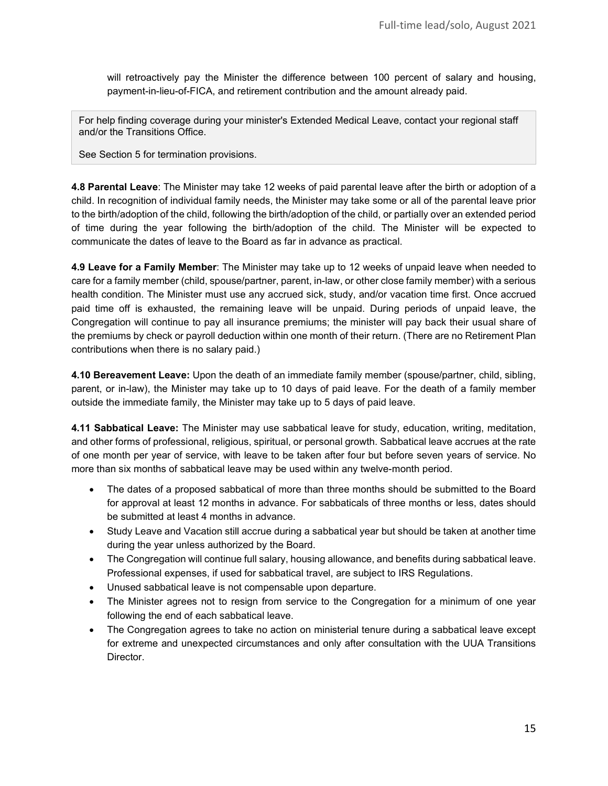will retroactively pay the Minister the difference between 100 percent of salary and housing, payment-in-lieu-of-FICA, and retirement contribution and the amount already paid.

For help finding coverage during your minister's Extended Medical Leave, contact your regional staff and/or the Transitions Office.

See Section 5 for termination provisions.

**4.8 Parental Leave**: The Minister may take 12 weeks of paid parental leave after the birth or adoption of a child. In recognition of individual family needs, the Minister may take some or all of the parental leave prior to the birth/adoption of the child, following the birth/adoption of the child, or partially over an extended period of time during the year following the birth/adoption of the child. The Minister will be expected to communicate the dates of leave to the Board as far in advance as practical.

**4.9 Leave for a Family Member**: The Minister may take up to 12 weeks of unpaid leave when needed to care for a family member (child, spouse/partner, parent, in-law, or other close family member) with a serious health condition. The Minister must use any accrued sick, study, and/or vacation time first. Once accrued paid time off is exhausted, the remaining leave will be unpaid. During periods of unpaid leave, the Congregation will continue to pay all insurance premiums; the minister will pay back their usual share of the premiums by check or payroll deduction within one month of their return. (There are no Retirement Plan contributions when there is no salary paid.)

**4.10 Bereavement Leave:** Upon the death of an immediate family member (spouse/partner, child, sibling, parent, or in-law), the Minister may take up to 10 days of paid leave. For the death of a family member outside the immediate family, the Minister may take up to 5 days of paid leave.

**4.11 Sabbatical Leave:** The Minister may use sabbatical leave for study, education, writing, meditation, and other forms of professional, religious, spiritual, or personal growth. Sabbatical leave accrues at the rate of one month per year of service, with leave to be taken after four but before seven years of service. No more than six months of sabbatical leave may be used within any twelve-month period.

- The dates of a proposed sabbatical of more than three months should be submitted to the Board for approval at least 12 months in advance. For sabbaticals of three months or less, dates should be submitted at least 4 months in advance.
- Study Leave and Vacation still accrue during a sabbatical year but should be taken at another time during the year unless authorized by the Board.
- The Congregation will continue full salary, housing allowance, and benefits during sabbatical leave. Professional expenses, if used for sabbatical travel, are subject to IRS Regulations.
- Unused sabbatical leave is not compensable upon departure.
- The Minister agrees not to resign from service to the Congregation for a minimum of one year following the end of each sabbatical leave.
- The Congregation agrees to take no action on ministerial tenure during a sabbatical leave except for extreme and unexpected circumstances and only after consultation with the UUA Transitions Director.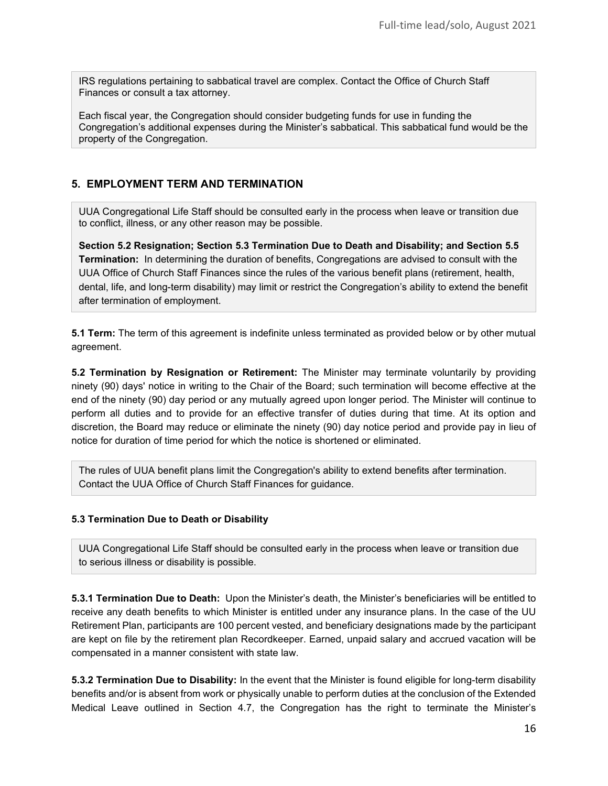IRS regulations pertaining to sabbatical travel are complex. Contact the Office of Church Staff Finances or consult a tax attorney.

Each fiscal year, the Congregation should consider budgeting funds for use in funding the Congregation's additional expenses during the Minister's sabbatical. This sabbatical fund would be the property of the Congregation.

#### **5. EMPLOYMENT TERM AND TERMINATION**

UUA Congregational Life Staff should be consulted early in the process when leave or transition due to conflict, illness, or any other reason may be possible.

**Section 5.2 Resignation; Section 5.3 Termination Due to Death and Disability; and Section 5.5 Termination:** In determining the duration of benefits, Congregations are advised to consult with the UUA Office of Church Staff Finances since the rules of the various benefit plans (retirement, health, dental, life, and long-term disability) may limit or restrict the Congregation's ability to extend the benefit after termination of employment.

**5.1 Term:** The term of this agreement is indefinite unless terminated as provided below or by other mutual agreement.

**5.2 Termination by Resignation or Retirement:** The Minister may terminate voluntarily by providing ninety (90) days' notice in writing to the Chair of the Board; such termination will become effective at the end of the ninety (90) day period or any mutually agreed upon longer period. The Minister will continue to perform all duties and to provide for an effective transfer of duties during that time. At its option and discretion, the Board may reduce or eliminate the ninety (90) day notice period and provide pay in lieu of notice for duration of time period for which the notice is shortened or eliminated.

The rules of UUA benefit plans limit the Congregation's ability to extend benefits after termination. Contact the UUA Office of Church Staff Finances for guidance.

#### **5.3 Termination Due to Death or Disability**

UUA Congregational Life Staff should be consulted early in the process when leave or transition due to serious illness or disability is possible.

**5.3.1 Termination Due to Death:** Upon the Minister's death, the Minister's beneficiaries will be entitled to receive any death benefits to which Minister is entitled under any insurance plans. In the case of the UU Retirement Plan, participants are 100 percent vested, and beneficiary designations made by the participant are kept on file by the retirement plan Recordkeeper. Earned, unpaid salary and accrued vacation will be compensated in a manner consistent with state law.

**5.3.2 Termination Due to Disability:** In the event that the Minister is found eligible for long-term disability benefits and/or is absent from work or physically unable to perform duties at the conclusion of the Extended Medical Leave outlined in Section 4.7, the Congregation has the right to terminate the Minister's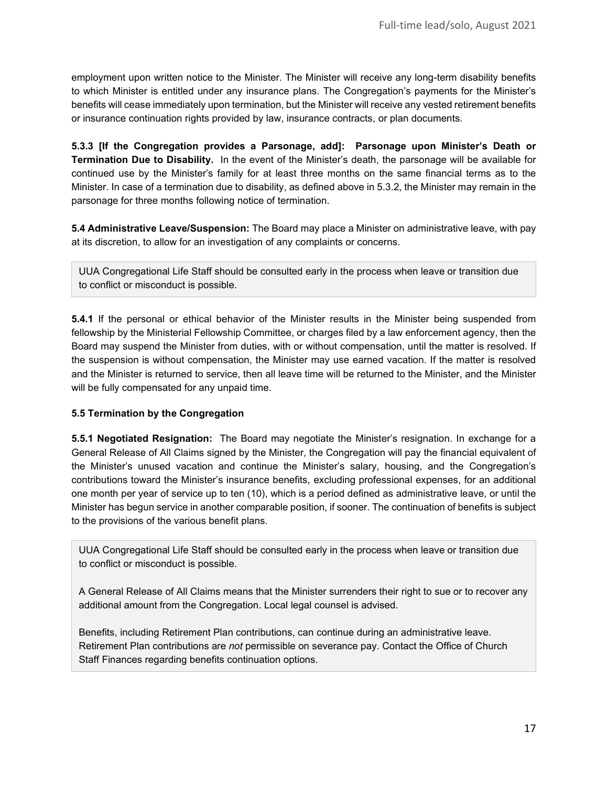employment upon written notice to the Minister. The Minister will receive any long-term disability benefits to which Minister is entitled under any insurance plans. The Congregation's payments for the Minister's benefits will cease immediately upon termination, but the Minister will receive any vested retirement benefits or insurance continuation rights provided by law, insurance contracts, or plan documents.

**5.3.3 [If the Congregation provides a Parsonage, add]: Parsonage upon Minister's Death or Termination Due to Disability.** In the event of the Minister's death, the parsonage will be available for continued use by the Minister's family for at least three months on the same financial terms as to the Minister. In case of a termination due to disability, as defined above in 5.3.2, the Minister may remain in the parsonage for three months following notice of termination.

**5.4 Administrative Leave/Suspension:** The Board may place a Minister on administrative leave, with pay at its discretion, to allow for an investigation of any complaints or concerns.

UUA Congregational Life Staff should be consulted early in the process when leave or transition due to conflict or misconduct is possible.

**5.4.1** If the personal or ethical behavior of the Minister results in the Minister being suspended from fellowship by the Ministerial Fellowship Committee, or charges filed by a law enforcement agency, then the Board may suspend the Minister from duties, with or without compensation, until the matter is resolved. If the suspension is without compensation, the Minister may use earned vacation. If the matter is resolved and the Minister is returned to service, then all leave time will be returned to the Minister, and the Minister will be fully compensated for any unpaid time.

#### **5.5 Termination by the Congregation**

**5.5.1 Negotiated Resignation:** The Board may negotiate the Minister's resignation. In exchange for a General Release of All Claims signed by the Minister, the Congregation will pay the financial equivalent of the Minister's unused vacation and continue the Minister's salary, housing, and the Congregation's contributions toward the Minister's insurance benefits, excluding professional expenses, for an additional one month per year of service up to ten (10), which is a period defined as administrative leave, or until the Minister has begun service in another comparable position, if sooner. The continuation of benefits is subject to the provisions of the various benefit plans.

UUA Congregational Life Staff should be consulted early in the process when leave or transition due to conflict or misconduct is possible.

A General Release of All Claims means that the Minister surrenders their right to sue or to recover any additional amount from the Congregation. Local legal counsel is advised.

Benefits, including Retirement Plan contributions, can continue during an administrative leave. Retirement Plan contributions are *not* permissible on severance pay. Contact the Office of Church Staff Finances regarding benefits continuation options.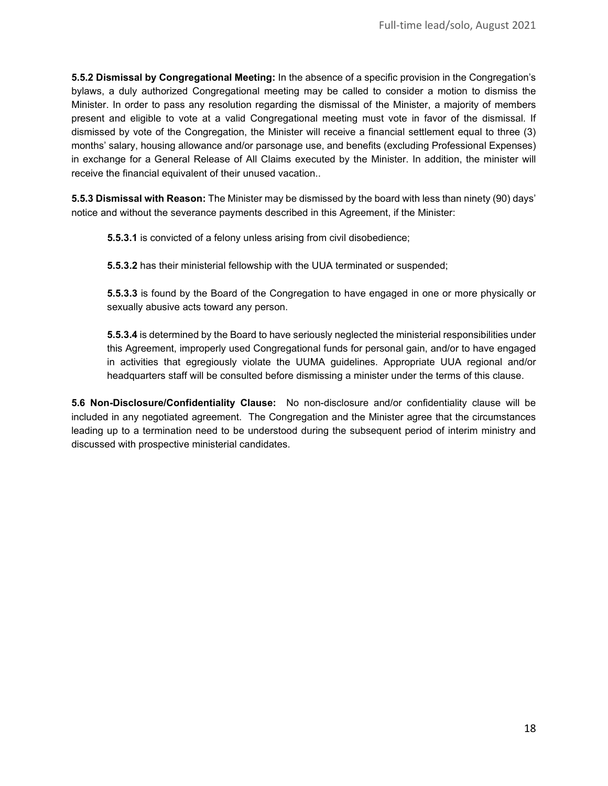**5.5.2 Dismissal by Congregational Meeting:** In the absence of a specific provision in the Congregation's bylaws, a duly authorized Congregational meeting may be called to consider a motion to dismiss the Minister. In order to pass any resolution regarding the dismissal of the Minister, a majority of members present and eligible to vote at a valid Congregational meeting must vote in favor of the dismissal. If dismissed by vote of the Congregation, the Minister will receive a financial settlement equal to three (3) months' salary, housing allowance and/or parsonage use, and benefits (excluding Professional Expenses) in exchange for a General Release of All Claims executed by the Minister. In addition, the minister will receive the financial equivalent of their unused vacation..

**5.5.3 Dismissal with Reason:** The Minister may be dismissed by the board with less than ninety (90) days' notice and without the severance payments described in this Agreement, if the Minister:

**5.5.3.1** is convicted of a felony unless arising from civil disobedience;

**5.5.3.2** has their ministerial fellowship with the UUA terminated or suspended;

**5.5.3.3** is found by the Board of the Congregation to have engaged in one or more physically or sexually abusive acts toward any person.

**5.5.3.4** is determined by the Board to have seriously neglected the ministerial responsibilities under this Agreement, improperly used Congregational funds for personal gain, and/or to have engaged in activities that egregiously violate the UUMA guidelines. Appropriate UUA regional and/or headquarters staff will be consulted before dismissing a minister under the terms of this clause.

**5.6 Non-Disclosure/Confidentiality Clause:** No non-disclosure and/or confidentiality clause will be included in any negotiated agreement. The Congregation and the Minister agree that the circumstances leading up to a termination need to be understood during the subsequent period of interim ministry and discussed with prospective ministerial candidates.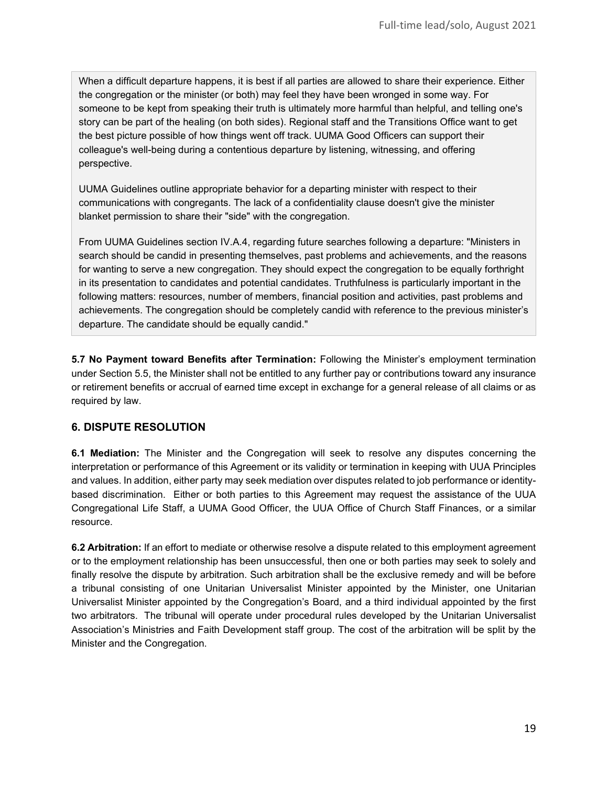When a difficult departure happens, it is best if all parties are allowed to share their experience. Either the congregation or the minister (or both) may feel they have been wronged in some way. For someone to be kept from speaking their truth is ultimately more harmful than helpful, and telling one's story can be part of the healing (on both sides). Regional staff and the Transitions Office want to get the best picture possible of how things went off track. UUMA Good Officers can support their colleague's well-being during a contentious departure by listening, witnessing, and offering perspective.

UUMA Guidelines outline appropriate behavior for a departing minister with respect to their communications with congregants. The lack of a confidentiality clause doesn't give the minister blanket permission to share their "side" with the congregation.

From UUMA Guidelines section IV.A.4, regarding future searches following a departure: "Ministers in search should be candid in presenting themselves, past problems and achievements, and the reasons for wanting to serve a new congregation. They should expect the congregation to be equally forthright in its presentation to candidates and potential candidates. Truthfulness is particularly important in the following matters: resources, number of members, financial position and activities, past problems and achievements. The congregation should be completely candid with reference to the previous minister's departure. The candidate should be equally candid."

**5.7 No Payment toward Benefits after Termination:** Following the Minister's employment termination under Section 5.5, the Minister shall not be entitled to any further pay or contributions toward any insurance or retirement benefits or accrual of earned time except in exchange for a general release of all claims or as required by law.

## **6. DISPUTE RESOLUTION**

**6.1 Mediation:** The Minister and the Congregation will seek to resolve any disputes concerning the interpretation or performance of this Agreement or its validity or termination in keeping with UUA Principles and values. In addition, either party may seek mediation over disputes related to job performance or identitybased discrimination. Either or both parties to this Agreement may request the assistance of the UUA Congregational Life Staff, a UUMA Good Officer, the UUA Office of Church Staff Finances, or a similar resource.

**6.2 Arbitration:** If an effort to mediate or otherwise resolve a dispute related to this employment agreement or to the employment relationship has been unsuccessful, then one or both parties may seek to solely and finally resolve the dispute by arbitration. Such arbitration shall be the exclusive remedy and will be before a tribunal consisting of one Unitarian Universalist Minister appointed by the Minister, one Unitarian Universalist Minister appointed by the Congregation's Board, and a third individual appointed by the first two arbitrators. The tribunal will operate under procedural rules developed by the Unitarian Universalist Association's Ministries and Faith Development staff group. The cost of the arbitration will be split by the Minister and the Congregation.